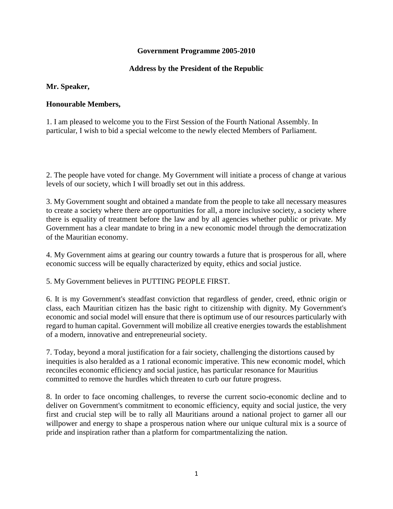# **Government Programme 2005-2010**

# **Address by the President of the Republic**

#### **Mr. Speaker,**

# **Honourable Members,**

1. I am pleased to welcome you to the First Session of the Fourth National Assembly. In particular, I wish to bid a special welcome to the newly elected Members of Parliament.

2. The people have voted for change. My Government will initiate a process of change at various levels of our society, which I will broadly set out in this address.

3. My Government sought and obtained a mandate from the people to take all necessary measures to create a society where there are opportunities for all, a more inclusive society, a society where there is equality of treatment before the law and by all agencies whether public or private. My Government has a clear mandate to bring in a new economic model through the democratization of the Mauritian economy.

4. My Government aims at gearing our country towards a future that is prosperous for all, where economic success will be equally characterized by equity, ethics and social justice.

5. My Government believes in PUTTING PEOPLE FIRST.

6. It is my Government's steadfast conviction that regardless of gender, creed, ethnic origin or class, each Mauritian citizen has the basic right to citizenship with dignity. My Government's economic and social model will ensure that there is optimum use of our resources particularly with regard to human capital. Government will mobilize all creative energies towards the establishment of a modern, innovative and entrepreneurial society.

7. Today, beyond a moral justification for a fair society, challenging the distortions caused by inequities is also heralded as a 1 rational economic imperative. This new economic model, which reconciles economic efficiency and social justice, has particular resonance for Mauritius committed to remove the hurdles which threaten to curb our future progress.

8. In order to face oncoming challenges, to reverse the current socio-economic decline and to deliver on Government's commitment to economic efficiency, equity and social justice, the very first and crucial step will be to rally all Mauritians around a national project to garner all our willpower and energy to shape a prosperous nation where our unique cultural mix is a source of pride and inspiration rather than a platform for compartmentalizing the nation.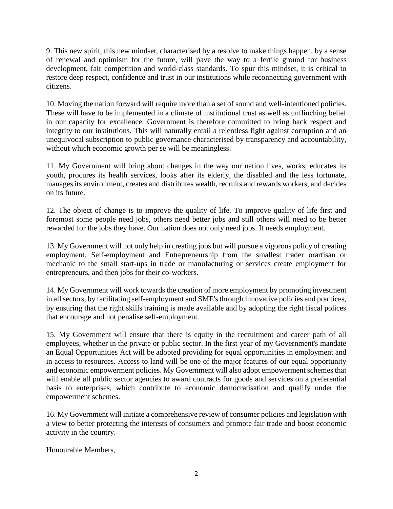9. This new spirit, this new mindset, characterised by a resolve to make things happen, by a sense of renewal and optimism for the future, will pave the way to a fertile ground for business development, fair competition and world-class standards. To spur this mindset, it is critical to restore deep respect, confidence and trust in our institutions while reconnecting government with citizens.

10. Moving the nation forward will require more than a set of sound and well-intentioned policies. These will have to be implemented in a climate of institutional trust as well as unflinching belief in our capacity for excellence. Government is therefore committed to bring back respect and integrity to our institutions. This will naturally entail a relentless fight against corruption and an unequivocal subscription to public governance characterised by transparency and accountability, without which economic growth per se will be meaningless.

11. My Government will bring about changes in the way our nation lives, works, educates its youth, procures its health services, looks after its elderly, the disabled and the less fortunate, manages its environment, creates and distributes wealth, recruits and rewards workers, and decides on its future.

12. The object of change is to improve the quality of life. To improve quality of life first and foremost some people need jobs, others need better jobs and still others will need to be better rewarded for the jobs they have. Our nation does not only need jobs. It needs employment.

13. My Government will not only help in creating jobs but will pursue a vigorous policy of creating employment. Self-employment and Entrepreneurship from the smallest trader orartisan or mechanic to the small start-ups in trade or manufacturing or services create employment for entrepreneurs, and then jobs for their co-workers.

14. My Government will work towards the creation of more employment by promoting investment in all sectors, by facilitating self-employment and SME's through innovative policies and practices, by ensuring that the right skills training is made available and by adopting the right fiscal polices that encourage and not penalise self-employment.

15. My Government will ensure that there is equity in the recruitment and career path of all employees, whether in the private or public sector. In the first year of my Government's mandate an Equal Opportunities Act will be adopted providing for equal opportunities in employment and in access to resources. Access to land will be one of the major features of our equal opportunity and economic empowerment policies. My Government will also adopt empowerment schemes that will enable all public sector agencies to award contracts for goods and services on a preferential basis to enterprises, which contribute to economic democratisation and qualify under the empowerment schemes.

16. My Government will initiate a comprehensive review of consumer policies and legislation with a view to better protecting the interests of consumers and promote fair trade and boost economic activity in the country.

Honourable Members,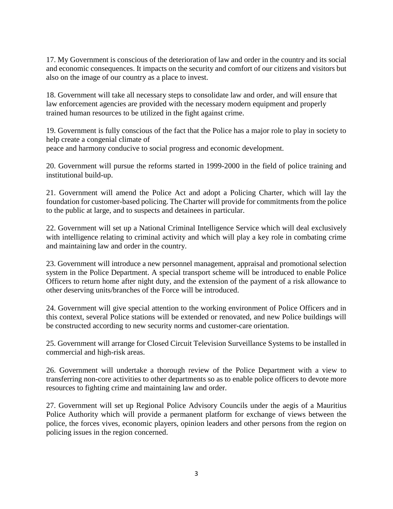17. My Government is conscious of the deterioration of law and order in the country and its social and economic consequences. It impacts on the security and comfort of our citizens and visitors but also on the image of our country as a place to invest.

18. Government will take all necessary steps to consolidate law and order, and will ensure that law enforcement agencies are provided with the necessary modern equipment and properly trained human resources to be utilized in the fight against crime.

19. Government is fully conscious of the fact that the Police has a major role to play in society to help create a congenial climate of peace and harmony conducive to social progress and economic development.

20. Government will pursue the reforms started in 1999-2000 in the field of police training and institutional build-up.

21. Government will amend the Police Act and adopt a Policing Charter, which will lay the foundation for customer-based policing. The Charter will provide for commitments from the police to the public at large, and to suspects and detainees in particular.

22. Government will set up a National Criminal Intelligence Service which will deal exclusively with intelligence relating to criminal activity and which will play a key role in combating crime and maintaining law and order in the country.

23. Government will introduce a new personnel management, appraisal and promotional selection system in the Police Department. A special transport scheme will be introduced to enable Police Officers to return home after night duty, and the extension of the payment of a risk allowance to other deserving units/branches of the Force will be introduced.

24. Government will give special attention to the working environment of Police Officers and in this context, several Police stations will be extended or renovated, and new Police buildings will be constructed according to new security norms and customer-care orientation.

25. Government will arrange for Closed Circuit Television Surveillance Systems to be installed in commercial and high-risk areas.

26. Government will undertake a thorough review of the Police Department with a view to transferring non-core activities to other departments so as to enable police officers to devote more resources to fighting crime and maintaining law and order.

27. Government will set up Regional Police Advisory Councils under the aegis of a Mauritius Police Authority which will provide a permanent platform for exchange of views between the police, the forces vives, economic players, opinion leaders and other persons from the region on policing issues in the region concerned.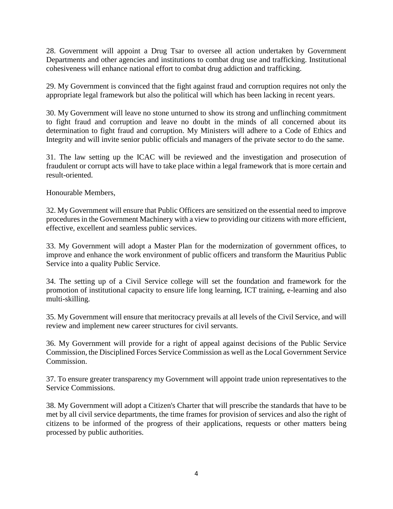28. Government will appoint a Drug Tsar to oversee all action undertaken by Government Departments and other agencies and institutions to combat drug use and trafficking. Institutional cohesiveness will enhance national effort to combat drug addiction and trafficking.

29. My Government is convinced that the fight against fraud and corruption requires not only the appropriate legal framework but also the political will which has been lacking in recent years.

30. My Government will leave no stone unturned to show its strong and unflinching commitment to fight fraud and corruption and leave no doubt in the minds of all concerned about its determination to fight fraud and corruption. My Ministers will adhere to a Code of Ethics and Integrity and will invite senior public officials and managers of the private sector to do the same.

31. The law setting up the ICAC will be reviewed and the investigation and prosecution of fraudulent or corrupt acts will have to take place within a legal framework that is more certain and result-oriented.

Honourable Members,

32. My Government will ensure that Public Officers are sensitized on the essential need to improve procedures in the Government Machinery with a view to providing our citizens with more efficient, effective, excellent and seamless public services.

33. My Government will adopt a Master Plan for the modernization of government offices, to improve and enhance the work environment of public officers and transform the Mauritius Public Service into a quality Public Service.

34. The setting up of a Civil Service college will set the foundation and framework for the promotion of institutional capacity to ensure life long learning, ICT training, e-learning and also multi-skilling.

35. My Government will ensure that meritocracy prevails at all levels of the Civil Service, and will review and implement new career structures for civil servants.

36. My Government will provide for a right of appeal against decisions of the Public Service Commission, the Disciplined Forces Service Commission as well as the Local Government Service Commission.

37. To ensure greater transparency my Government will appoint trade union representatives to the Service Commissions.

38. My Government will adopt a Citizen's Charter that will prescribe the standards that have to be met by all civil service departments, the time frames for provision of services and also the right of citizens to be informed of the progress of their applications, requests or other matters being processed by public authorities.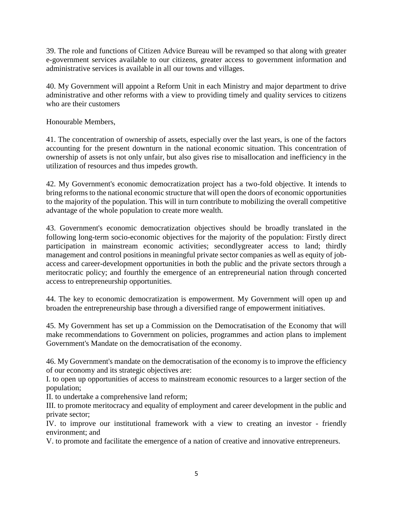39. The role and functions of Citizen Advice Bureau will be revamped so that along with greater e-government services available to our citizens, greater access to government information and administrative services is available in all our towns and villages.

40. My Government will appoint a Reform Unit in each Ministry and major department to drive administrative and other reforms with a view to providing timely and quality services to citizens who are their customers

Honourable Members,

41. The concentration of ownership of assets, especially over the last years, is one of the factors accounting for the present downturn in the national economic situation. This concentration of ownership of assets is not only unfair, but also gives rise to misallocation and inefficiency in the utilization of resources and thus impedes growth.

42. My Government's economic democratization project has a two-fold objective. It intends to bring reforms to the national economic structure that will open the doors of economic opportunities to the majority of the population. This will in turn contribute to mobilizing the overall competitive advantage of the whole population to create more wealth.

43. Government's economic democratization objectives should be broadly translated in the following long-term socio-economic objectives for the majority of the population: Firstly direct participation in mainstream economic activities; secondlygreater access to land; thirdly management and control positions in meaningful private sector companies as well as equity of jobaccess and career-development opportunities in both the public and the private sectors through a meritocratic policy; and fourthly the emergence of an entrepreneurial nation through concerted access to entrepreneurship opportunities.

44. The key to economic democratization is empowerment. My Government will open up and broaden the entrepreneurship base through a diversified range of empowerment initiatives.

45. My Government has set up a Commission on the Democratisation of the Economy that will make recommendations to Government on policies, programmes and action plans to implement Government's Mandate on the democratisation of the economy.

46. My Government's mandate on the democratisation of the economy is to improve the efficiency of our economy and its strategic objectives are:

I. to open up opportunities of access to mainstream economic resources to a larger section of the population;

II. to undertake a comprehensive land reform;

III. to promote meritocracy and equality of employment and career development in the public and private sector;

IV. to improve our institutional framework with a view to creating an investor - friendly environment; and

V. to promote and facilitate the emergence of a nation of creative and innovative entrepreneurs.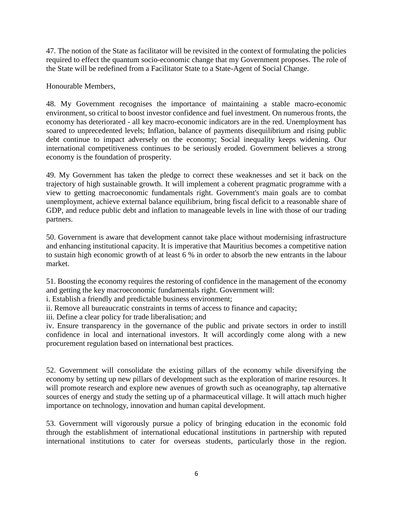47. The notion of the State as facilitator will be revisited in the context of formulating the policies required to effect the quantum socio-economic change that my Government proposes. The role of the State will be redefined from a Facilitator State to a State-Agent of Social Change.

Honourable Members,

48. My Government recognises the importance of maintaining a stable macro-economic environment, so critical to boost investor confidence and fuel investment. On numerous fronts, the economy has deteriorated - all key macro-economic indicators are in the red. Unemployment has soared to unprecedented levels; Inflation, balance of payments disequilibrium and rising public debt continue to impact adversely on the economy; Social inequality keeps widening. Our international competitiveness continues to be seriously eroded. Government believes a strong economy is the foundation of prosperity.

49. My Government has taken the pledge to correct these weaknesses and set it back on the trajectory of high sustainable growth. It will implement a coherent pragmatic programme with a view to getting macroeconomic fundamentals right. Government's main goals are to combat unemployment, achieve external balance equilibrium, bring fiscal deficit to a reasonable share of GDP, and reduce public debt and inflation to manageable levels in line with those of our trading partners.

50. Government is aware that development cannot take place without modernising infrastructure and enhancing institutional capacity. It is imperative that Mauritius becomes a competitive nation to sustain high economic growth of at least 6 % in order to absorb the new entrants in the labour market.

51. Boosting the economy requires the restoring of confidence in the management of the economy and getting the key macroeconomic fundamentals right. Government will:

i. Establish a friendly and predictable business environment;

ii. Remove all bureaucratic constraints in terms of access to finance and capacity;

iii. Define a clear policy for trade liberalisation; and

iv. Ensure transparency in the governance of the public and private sectors in order to instill confidence in local and international investors. It will accordingly come along with a new procurement regulation based on international best practices.

52. Government will consolidate the existing pillars of the economy while diversifying the economy by setting up new pillars of development such as the exploration of marine resources. It will promote research and explore new avenues of growth such as oceanography, tap alternative sources of energy and study the setting up of a pharmaceutical village. It will attach much higher importance on technology, innovation and human capital development.

53. Government will vigorously pursue a policy of bringing education in the economic fold through the establishment of international educational institutions in partnership with reputed international institutions to cater for overseas students, particularly those in the region.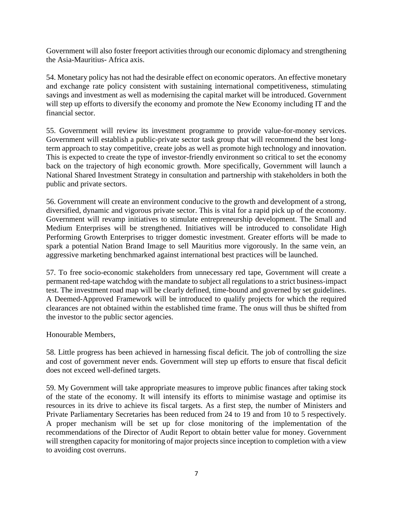Government will also foster freeport activities through our economic diplomacy and strengthening the Asia-Mauritius- Africa axis.

54. Monetary policy has not had the desirable effect on economic operators. An effective monetary and exchange rate policy consistent with sustaining international competitiveness, stimulating savings and investment as well as modernising the capital market will be introduced. Government will step up efforts to diversify the economy and promote the New Economy including IT and the financial sector.

55. Government will review its investment programme to provide value-for-money services. Government will establish a public-private sector task group that will recommend the best longterm approach to stay competitive, create jobs as well as promote high technology and innovation. This is expected to create the type of investor-friendly environment so critical to set the economy back on the trajectory of high economic growth. More specifically, Government will launch a National Shared Investment Strategy in consultation and partnership with stakeholders in both the public and private sectors.

56. Government will create an environment conducive to the growth and development of a strong, diversified, dynamic and vigorous private sector. This is vital for a rapid pick up of the economy. Government will revamp initiatives to stimulate entrepreneurship development. The Small and Medium Enterprises will be strengthened. Initiatives will be introduced to consolidate High Performing Growth Enterprises to trigger domestic investment. Greater efforts will be made to spark a potential Nation Brand Image to sell Mauritius more vigorously. In the same vein, an aggressive marketing benchmarked against international best practices will be launched.

57. To free socio-economic stakeholders from unnecessary red tape, Government will create a permanent red-tape watchdog with the mandate to subject all regulations to a strict business-impact test. The investment road map will be clearly defined, time-bound and governed by set guidelines. A Deemed-Approved Framework will be introduced to qualify projects for which the required clearances are not obtained within the established time frame. The onus will thus be shifted from the investor to the public sector agencies.

Honourable Members,

58. Little progress has been achieved in harnessing fiscal deficit. The job of controlling the size and cost of government never ends. Government will step up efforts to ensure that fiscal deficit does not exceed well-defined targets.

59. My Government will take appropriate measures to improve public finances after taking stock of the state of the economy. It will intensify its efforts to minimise wastage and optimise its resources in its drive to achieve its fiscal targets. As a first step, the number of Ministers and Private Parliamentary Secretaries has been reduced from 24 to 19 and from 10 to 5 respectively. A proper mechanism will be set up for close monitoring of the implementation of the recommendations of the Director of Audit Report to obtain better value for money. Government will strengthen capacity for monitoring of major projects since inception to completion with a view to avoiding cost overruns.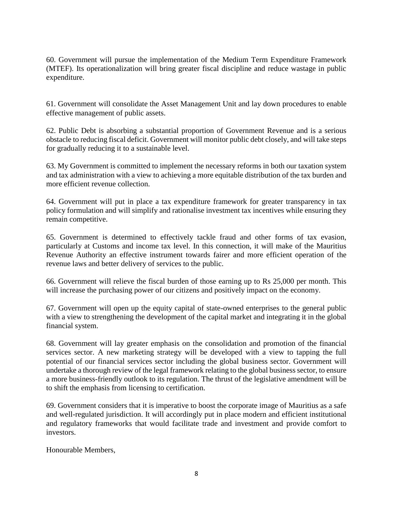60. Government will pursue the implementation of the Medium Term Expenditure Framework (MTEF). Its operationalization will bring greater fiscal discipline and reduce wastage in public expenditure.

61. Government will consolidate the Asset Management Unit and lay down procedures to enable effective management of public assets.

62. Public Debt is absorbing a substantial proportion of Government Revenue and is a serious obstacle to reducing fiscal deficit. Government will monitor public debt closely, and will take steps for gradually reducing it to a sustainable level.

63. My Government is committed to implement the necessary reforms in both our taxation system and tax administration with a view to achieving a more equitable distribution of the tax burden and more efficient revenue collection.

64. Government will put in place a tax expenditure framework for greater transparency in tax policy formulation and will simplify and rationalise investment tax incentives while ensuring they remain competitive.

65. Government is determined to effectively tackle fraud and other forms of tax evasion, particularly at Customs and income tax level. In this connection, it will make of the Mauritius Revenue Authority an effective instrument towards fairer and more efficient operation of the revenue laws and better delivery of services to the public.

66. Government will relieve the fiscal burden of those earning up to Rs 25,000 per month. This will increase the purchasing power of our citizens and positively impact on the economy.

67. Government will open up the equity capital of state-owned enterprises to the general public with a view to strengthening the development of the capital market and integrating it in the global financial system.

68. Government will lay greater emphasis on the consolidation and promotion of the financial services sector. A new marketing strategy will be developed with a view to tapping the full potential of our financial services sector including the global business sector. Government will undertake a thorough review of the legal framework relating to the global business sector, to ensure a more business-friendly outlook to its regulation. The thrust of the legislative amendment will be to shift the emphasis from licensing to certification.

69. Government considers that it is imperative to boost the corporate image of Mauritius as a safe and well-regulated jurisdiction. It will accordingly put in place modern and efficient institutional and regulatory frameworks that would facilitate trade and investment and provide comfort to investors.

Honourable Members,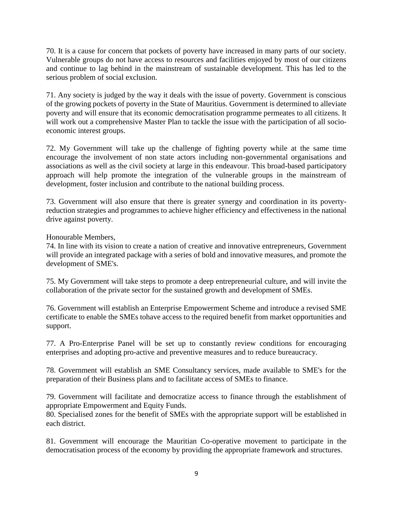70. It is a cause for concern that pockets of poverty have increased in many parts of our society. Vulnerable groups do not have access to resources and facilities enjoyed by most of our citizens and continue to lag behind in the mainstream of sustainable development. This has led to the serious problem of social exclusion.

71. Any society is judged by the way it deals with the issue of poverty. Government is conscious of the growing pockets of poverty in the State of Mauritius. Government is determined to alleviate poverty and will ensure that its economic democratisation programme permeates to all citizens. It will work out a comprehensive Master Plan to tackle the issue with the participation of all socioeconomic interest groups.

72. My Government will take up the challenge of fighting poverty while at the same time encourage the involvement of non state actors including non-governmental organisations and associations as well as the civil society at large in this endeavour. This broad-based participatory approach will help promote the integration of the vulnerable groups in the mainstream of development, foster inclusion and contribute to the national building process.

73. Government will also ensure that there is greater synergy and coordination in its povertyreduction strategies and programmes to achieve higher efficiency and effectiveness in the national drive against poverty.

Honourable Members,

74. In line with its vision to create a nation of creative and innovative entrepreneurs, Government will provide an integrated package with a series of bold and innovative measures, and promote the development of SME's.

75. My Government will take steps to promote a deep entrepreneurial culture, and will invite the collaboration of the private sector for the sustained growth and development of SMEs.

76. Government will establish an Enterprise Empowerment Scheme and introduce a revised SME certificate to enable the SMEs tohave access to the required benefit from market opportunities and support.

77. A Pro-Enterprise Panel will be set up to constantly review conditions for encouraging enterprises and adopting pro-active and preventive measures and to reduce bureaucracy.

78. Government will establish an SME Consultancy services, made available to SME's for the preparation of their Business plans and to facilitate access of SMEs to finance.

79. Government will facilitate and democratize access to finance through the establishment of appropriate Empowerment and Equity Funds.

80. Specialised zones for the benefit of SMEs with the appropriate support will be established in each district.

81. Government will encourage the Mauritian Co-operative movement to participate in the democratisation process of the economy by providing the appropriate framework and structures.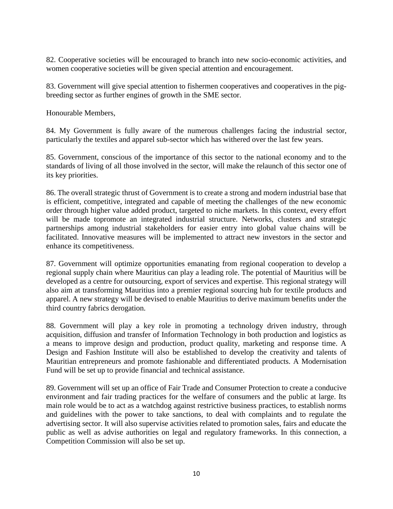82. Cooperative societies will be encouraged to branch into new socio-economic activities, and women cooperative societies will be given special attention and encouragement.

83. Government will give special attention to fishermen cooperatives and cooperatives in the pigbreeding sector as further engines of growth in the SME sector.

Honourable Members,

84. My Government is fully aware of the numerous challenges facing the industrial sector, particularly the textiles and apparel sub-sector which has withered over the last few years.

85. Government, conscious of the importance of this sector to the national economy and to the standards of living of all those involved in the sector, will make the relaunch of this sector one of its key priorities.

86. The overall strategic thrust of Government is to create a strong and modern industrial base that is efficient, competitive, integrated and capable of meeting the challenges of the new economic order through higher value added product, targeted to niche markets. In this context, every effort will be made topromote an integrated industrial structure. Networks, clusters and strategic partnerships among industrial stakeholders for easier entry into global value chains will be facilitated. Innovative measures will be implemented to attract new investors in the sector and enhance its competitiveness.

87. Government will optimize opportunities emanating from regional cooperation to develop a regional supply chain where Mauritius can play a leading role. The potential of Mauritius will be developed as a centre for outsourcing, export of services and expertise. This regional strategy will also aim at transforming Mauritius into a premier regional sourcing hub for textile products and apparel. A new strategy will be devised to enable Mauritius to derive maximum benefits under the third country fabrics derogation.

88. Government will play a key role in promoting a technology driven industry, through acquisition, diffusion and transfer of Information Technology in both production and logistics as a means to improve design and production, product quality, marketing and response time. A Design and Fashion Institute will also be established to develop the creativity and talents of Mauritian entrepreneurs and promote fashionable and differentiated products. A Modernisation Fund will be set up to provide financial and technical assistance.

89. Government will set up an office of Fair Trade and Consumer Protection to create a conducive environment and fair trading practices for the welfare of consumers and the public at large. Its main role would be to act as a watchdog against restrictive business practices, to establish norms and guidelines with the power to take sanctions, to deal with complaints and to regulate the advertising sector. It will also supervise activities related to promotion sales, fairs and educate the public as well as advise authorities on legal and regulatory frameworks. In this connection, a Competition Commission will also be set up.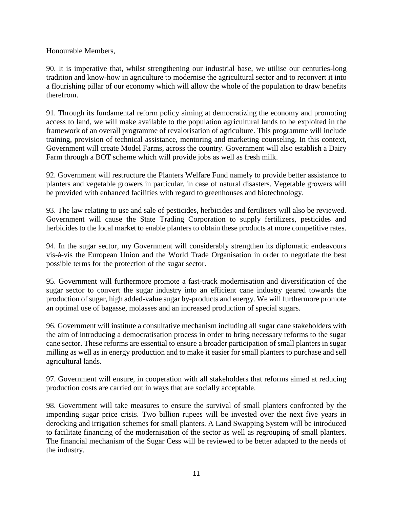Honourable Members,

90. It is imperative that, whilst strengthening our industrial base, we utilise our centuries-long tradition and know-how in agriculture to modernise the agricultural sector and to reconvert it into a flourishing pillar of our economy which will allow the whole of the population to draw benefits therefrom.

91. Through its fundamental reform policy aiming at democratizing the economy and promoting access to land, we will make available to the population agricultural lands to be exploited in the framework of an overall programme of revalorisation of agriculture. This programme will include training, provision of technical assistance, mentoring and marketing counseling. In this context, Government will create Model Farms, across the country. Government will also establish a Dairy Farm through a BOT scheme which will provide jobs as well as fresh milk.

92. Government will restructure the Planters Welfare Fund namely to provide better assistance to planters and vegetable growers in particular, in case of natural disasters. Vegetable growers will be provided with enhanced facilities with regard to greenhouses and biotechnology.

93. The law relating to use and sale of pesticides, herbicides and fertilisers will also be reviewed. Government will cause the State Trading Corporation to supply fertilizers, pesticides and herbicides to the local market to enable planters to obtain these products at more competitive rates.

94. In the sugar sector, my Government will considerably strengthen its diplomatic endeavours vis-à-vis the European Union and the World Trade Organisation in order to negotiate the best possible terms for the protection of the sugar sector.

95. Government will furthermore promote a fast-track modernisation and diversification of the sugar sector to convert the sugar industry into an efficient cane industry geared towards the production of sugar, high added-value sugar by-products and energy. We will furthermore promote an optimal use of bagasse, molasses and an increased production of special sugars.

96. Government will institute a consultative mechanism including all sugar cane stakeholders with the aim of introducing a democratisation process in order to bring necessary reforms to the sugar cane sector. These reforms are essential to ensure a broader participation of small planters in sugar milling as well as in energy production and to make it easier for small planters to purchase and sell agricultural lands.

97. Government will ensure, in cooperation with all stakeholders that reforms aimed at reducing production costs are carried out in ways that are socially acceptable.

98. Government will take measures to ensure the survival of small planters confronted by the impending sugar price crisis. Two billion rupees will be invested over the next five years in derocking and irrigation schemes for small planters. A Land Swapping System will be introduced to facilitate financing of the modernisation of the sector as well as regrouping of small planters. The financial mechanism of the Sugar Cess will be reviewed to be better adapted to the needs of the industry.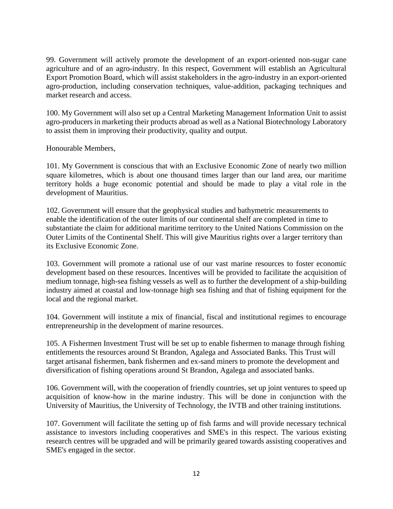99. Government will actively promote the development of an export-oriented non-sugar cane agriculture and of an agro-industry. In this respect, Government will establish an Agricultural Export Promotion Board, which will assist stakeholders in the agro-industry in an export-oriented agro-production, including conservation techniques, value-addition, packaging techniques and market research and access.

100. My Government will also set up a Central Marketing Management Information Unit to assist agro-producers in marketing their products abroad as well as a National Biotechnology Laboratory to assist them in improving their productivity, quality and output.

Honourable Members,

101. My Government is conscious that with an Exclusive Economic Zone of nearly two million square kilometres, which is about one thousand times larger than our land area, our maritime territory holds a huge economic potential and should be made to play a vital role in the development of Mauritius.

102. Government will ensure that the geophysical studies and bathymetric measurements to enable the identification of the outer limits of our continental shelf are completed in time to substantiate the claim for additional maritime territory to the United Nations Commission on the Outer Limits of the Continental Shelf. This will give Mauritius rights over a larger territory than its Exclusive Economic Zone.

103. Government will promote a rational use of our vast marine resources to foster economic development based on these resources. Incentives will be provided to facilitate the acquisition of medium tonnage, high-sea fishing vessels as well as to further the development of a ship-building industry aimed at coastal and low-tonnage high sea fishing and that of fishing equipment for the local and the regional market.

104. Government will institute a mix of financial, fiscal and institutional regimes to encourage entrepreneurship in the development of marine resources.

105. A Fishermen Investment Trust will be set up to enable fishermen to manage through fishing entitlements the resources around St Brandon, Agalega and Associated Banks. This Trust will target artisanal fishermen, bank fishermen and ex-sand miners to promote the development and diversification of fishing operations around St Brandon, Agalega and associated banks.

106. Government will, with the cooperation of friendly countries, set up joint ventures to speed up acquisition of know-how in the marine industry. This will be done in conjunction with the University of Mauritius, the University of Technology, the IVTB and other training institutions.

107. Government will facilitate the setting up of fish farms and will provide necessary technical assistance to investors including cooperatives and SME's in this respect. The various existing research centres will be upgraded and will be primarily geared towards assisting cooperatives and SME's engaged in the sector.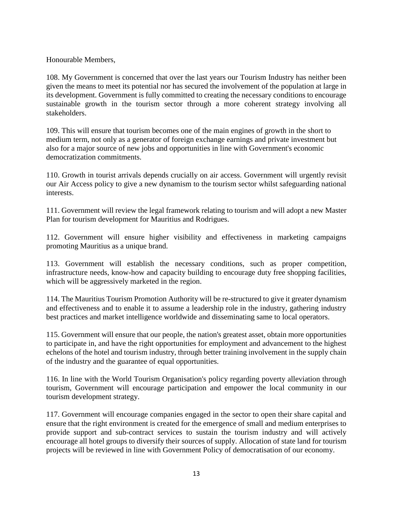Honourable Members,

108. My Government is concerned that over the last years our Tourism Industry has neither been given the means to meet its potential nor has secured the involvement of the population at large in its development. Government is fully committed to creating the necessary conditions to encourage sustainable growth in the tourism sector through a more coherent strategy involving all stakeholders.

109. This will ensure that tourism becomes one of the main engines of growth in the short to medium term, not only as a generator of foreign exchange earnings and private investment but also for a major source of new jobs and opportunities in line with Government's economic democratization commitments.

110. Growth in tourist arrivals depends crucially on air access. Government will urgently revisit our Air Access policy to give a new dynamism to the tourism sector whilst safeguarding national interests.

111. Government will review the legal framework relating to tourism and will adopt a new Master Plan for tourism development for Mauritius and Rodrigues.

112. Government will ensure higher visibility and effectiveness in marketing campaigns promoting Mauritius as a unique brand.

113. Government will establish the necessary conditions, such as proper competition, infrastructure needs, know-how and capacity building to encourage duty free shopping facilities, which will be aggressively marketed in the region.

114. The Mauritius Tourism Promotion Authority will be re-structured to give it greater dynamism and effectiveness and to enable it to assume a leadership role in the industry, gathering industry best practices and market intelligence worldwide and disseminating same to local operators.

115. Government will ensure that our people, the nation's greatest asset, obtain more opportunities to participate in, and have the right opportunities for employment and advancement to the highest echelons of the hotel and tourism industry, through better training involvement in the supply chain of the industry and the guarantee of equal opportunities.

116. In line with the World Tourism Organisation's policy regarding poverty alleviation through tourism, Government will encourage participation and empower the local community in our tourism development strategy.

117. Government will encourage companies engaged in the sector to open their share capital and ensure that the right environment is created for the emergence of small and medium enterprises to provide support and sub-contract services to sustain the tourism industry and will actively encourage all hotel groups to diversify their sources of supply. Allocation of state land for tourism projects will be reviewed in line with Government Policy of democratisation of our economy.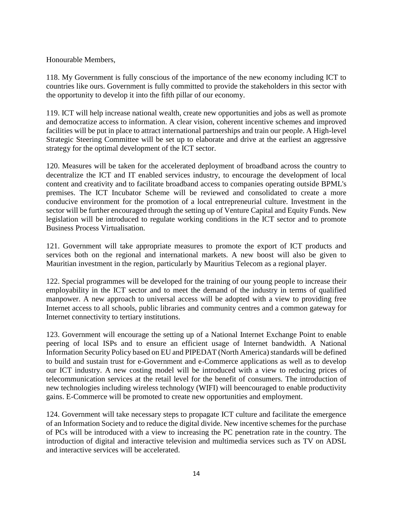### Honourable Members,

118. My Government is fully conscious of the importance of the new economy including ICT to countries like ours. Government is fully committed to provide the stakeholders in this sector with the opportunity to develop it into the fifth pillar of our economy.

119. ICT will help increase national wealth, create new opportunities and jobs as well as promote and democratize access to information. A clear vision, coherent incentive schemes and improved facilities will be put in place to attract international partnerships and train our people. A High-level Strategic Steering Committee will be set up to elaborate and drive at the earliest an aggressive strategy for the optimal development of the ICT sector.

120. Measures will be taken for the accelerated deployment of broadband across the country to decentralize the ICT and IT enabled services industry, to encourage the development of local content and creativity and to facilitate broadband access to companies operating outside BPML's premises. The ICT Incubator Scheme will be reviewed and consolidated to create a more conducive environment for the promotion of a local entrepreneurial culture. Investment in the sector will be further encouraged through the setting up of Venture Capital and Equity Funds. New legislation will be introduced to regulate working conditions in the ICT sector and to promote Business Process Virtualisation.

121. Government will take appropriate measures to promote the export of ICT products and services both on the regional and international markets. A new boost will also be given to Mauritian investment in the region, particularly by Mauritius Telecom as a regional player.

122. Special programmes will be developed for the training of our young people to increase their employability in the ICT sector and to meet the demand of the industry in terms of qualified manpower. A new approach to universal access will be adopted with a view to providing free Internet access to all schools, public libraries and community centres and a common gateway for Internet connectivity to tertiary institutions.

123. Government will encourage the setting up of a National Internet Exchange Point to enable peering of local ISPs and to ensure an efficient usage of Internet bandwidth. A National Information Security Policy based on EU and PIPEDAT (North America) standards will be defined to build and sustain trust for e-Government and e-Commerce applications as well as to develop our ICT industry. A new costing model will be introduced with a view to reducing prices of telecommunication services at the retail level for the benefit of consumers. The introduction of new technologies including wireless technology (WIFI) will beencouraged to enable productivity gains. E-Commerce will be promoted to create new opportunities and employment.

124. Government will take necessary steps to propagate ICT culture and facilitate the emergence of an Information Society and to reduce the digital divide. New incentive schemes for the purchase of PCs will be introduced with a view to increasing the PC penetration rate in the country. The introduction of digital and interactive television and multimedia services such as TV on ADSL and interactive services will be accelerated.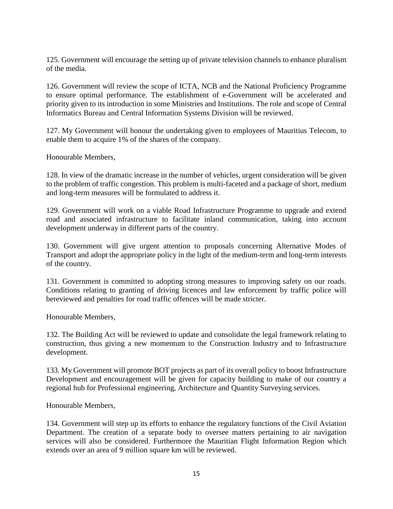125. Government will encourage the setting up of private television channels to enhance pluralism of the media.

126. Government will review the scope of ICTA, NCB and the National Proficiency Programme to ensure optimal performance. The establishment of e-Government will be accelerated and priority given to its introduction in some Ministries and Institutions. The role and scope of Central Informatics Bureau and Central Information Systems Division will be reviewed.

127. My Government will honour the undertaking given to employees of Mauritius Telecom, to enable them to acquire 1% of the shares of the company.

Honourable Members,

128. In view of the dramatic increase in the number of vehicles, urgent consideration will be given to the problem of traffic congestion. This problem is multi-faceted and a package of short, medium and long-term measures will be formulated to address it.

129. Government will work on a viable Road Infrastructure Programme to upgrade and extend road and associated infrastructure to facilitate inland communication, taking into account development underway in different parts of the country.

130. Government will give urgent attention to proposals concerning Alternative Modes of Transport and adopt the appropriate policy in the light of the medium-term and long-term interests of the country.

131. Government is committed to adopting strong measures to improving safety on our roads. Conditions relating to granting of driving licences and law enforcement by traffic police will bereviewed and penalties for road traffic offences will be made stricter.

Honourable Members,

132. The Building Act will be reviewed to update and consolidate the legal framework relating to construction, thus giving a new momentum to the Construction Industry and to Infrastructure development.

133. My Government will promote BOT projects as part of its overall policy to boost Infrastructure Development and encouragement will be given for capacity building to make of our country a regional hub for Professional engineering, Architecture and Quantity Surveying services.

Honourable Members,

134. Government will step up its efforts to enhance the regulatory functions of the Civil Aviation Department. The creation of a separate body to oversee matters pertaining to air navigation services will also be considered. Furthermore the Mauritian Flight Information Region which extends over an area of 9 million square km will be reviewed.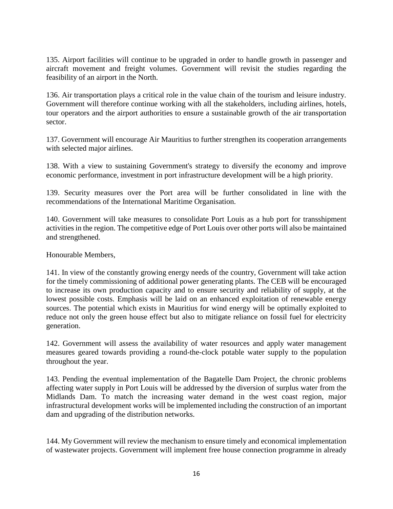135. Airport facilities will continue to be upgraded in order to handle growth in passenger and aircraft movement and freight volumes. Government will revisit the studies regarding the feasibility of an airport in the North.

136. Air transportation plays a critical role in the value chain of the tourism and leisure industry. Government will therefore continue working with all the stakeholders, including airlines, hotels, tour operators and the airport authorities to ensure a sustainable growth of the air transportation sector.

137. Government will encourage Air Mauritius to further strengthen its cooperation arrangements with selected major airlines.

138. With a view to sustaining Government's strategy to diversify the economy and improve economic performance, investment in port infrastructure development will be a high priority.

139. Security measures over the Port area will be further consolidated in line with the recommendations of the International Maritime Organisation.

140. Government will take measures to consolidate Port Louis as a hub port for transshipment activities in the region. The competitive edge of Port Louis over other ports will also be maintained and strengthened.

Honourable Members,

141. In view of the constantly growing energy needs of the country, Government will take action for the timely commissioning of additional power generating plants. The CEB will be encouraged to increase its own production capacity and to ensure security and reliability of supply, at the lowest possible costs. Emphasis will be laid on an enhanced exploitation of renewable energy sources. The potential which exists in Mauritius for wind energy will be optimally exploited to reduce not only the green house effect but also to mitigate reliance on fossil fuel for electricity generation.

142. Government will assess the availability of water resources and apply water management measures geared towards providing a round-the-clock potable water supply to the population throughout the year.

143. Pending the eventual implementation of the Bagatelle Dam Project, the chronic problems affecting water supply in Port Louis will be addressed by the diversion of surplus water from the Midlands Dam. To match the increasing water demand in the west coast region, major infrastructural development works will be implemented including the construction of an important dam and upgrading of the distribution networks.

144. My Government will review the mechanism to ensure timely and economical implementation of wastewater projects. Government will implement free house connection programme in already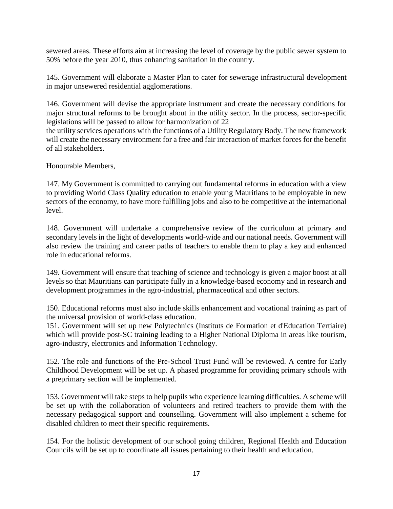sewered areas. These efforts aim at increasing the level of coverage by the public sewer system to 50% before the year 2010, thus enhancing sanitation in the country.

145. Government will elaborate a Master Plan to cater for sewerage infrastructural development in major unsewered residential agglomerations.

146. Government will devise the appropriate instrument and create the necessary conditions for major structural reforms to be brought about in the utility sector. In the process, sector-specific legislations will be passed to allow for harmonization of 22

the utility services operations with the functions of a Utility Regulatory Body. The new framework will create the necessary environment for a free and fair interaction of market forces for the benefit of all stakeholders.

Honourable Members,

147. My Government is committed to carrying out fundamental reforms in education with a view to providing World Class Quality education to enable young Mauritians to be employable in new sectors of the economy, to have more fulfilling jobs and also to be competitive at the international level.

148. Government will undertake a comprehensive review of the curriculum at primary and secondary levels in the light of developments world-wide and our national needs. Government will also review the training and career paths of teachers to enable them to play a key and enhanced role in educational reforms.

149. Government will ensure that teaching of science and technology is given a major boost at all levels so that Mauritians can participate fully in a knowledge-based economy and in research and development programmes in the agro-industrial, pharmaceutical and other sectors.

150. Educational reforms must also include skills enhancement and vocational training as part of the universal provision of world-class education.

151. Government will set up new Polytechnics (Instituts de Formation et d'Education Tertiaire) which will provide post-SC training leading to a Higher National Diploma in areas like tourism, agro-industry, electronics and Information Technology.

152. The role and functions of the Pre-School Trust Fund will be reviewed. A centre for Early Childhood Development will be set up. A phased programme for providing primary schools with a preprimary section will be implemented.

153. Government will take steps to help pupils who experience learning difficulties. A scheme will be set up with the collaboration of volunteers and retired teachers to provide them with the necessary pedagogical support and counselling. Government will also implement a scheme for disabled children to meet their specific requirements.

154. For the holistic development of our school going children, Regional Health and Education Councils will be set up to coordinate all issues pertaining to their health and education.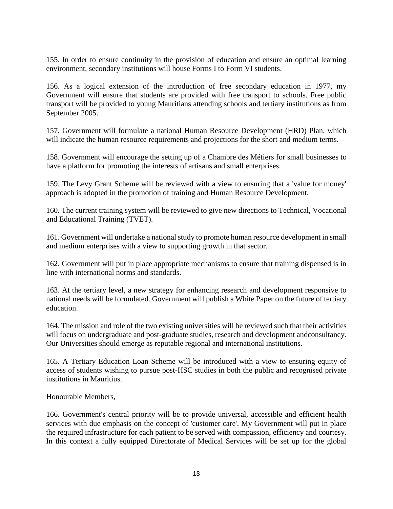155. In order to ensure continuity in the provision of education and ensure an optimal learning environment, secondary institutions will house Forms I to Form VI students.

156. As a logical extension of the introduction of free secondary education in 1977, my Government will ensure that students are provided with free transport to schools. Free public transport will be provided to young Mauritians attending schools and tertiary institutions as from September 2005.

157. Government will formulate a national Human Resource Development (HRD) Plan, which will indicate the human resource requirements and projections for the short and medium terms.

158. Government will encourage the setting up of a Chambre des Métiers for small businesses to have a platform for promoting the interests of artisans and small enterprises.

159. The Levy Grant Scheme will be reviewed with a view to ensuring that a 'value for money' approach is adopted in the promotion of training and Human Resource Development.

160. The current training system will be reviewed to give new directions to Technical, Vocational and Educational Training (TVET).

161. Government will undertake a national study to promote human resource development in small and medium enterprises with a view to supporting growth in that sector.

162. Government will put in place appropriate mechanisms to ensure that training dispensed is in line with international norms and standards.

163. At the tertiary level, a new strategy for enhancing research and development responsive to national needs will be formulated. Government will publish a White Paper on the future of tertiary education.

164. The mission and role of the two existing universities will be reviewed such that their activities will focus on undergraduate and post-graduate studies, research and development andconsultancy. Our Universities should emerge as reputable regional and international institutions.

165. A Tertiary Education Loan Scheme will be introduced with a view to ensuring equity of access of students wishing to pursue post-HSC studies in both the public and recognised private institutions in Mauritius.

Honourable Members,

166. Government's central priority will be to provide universal, accessible and efficient health services with due emphasis on the concept of 'customer care'. My Government will put in place the required infrastructure for each patient to be served with compassion, efficiency and courtesy. In this context a fully equipped Directorate of Medical Services will be set up for the global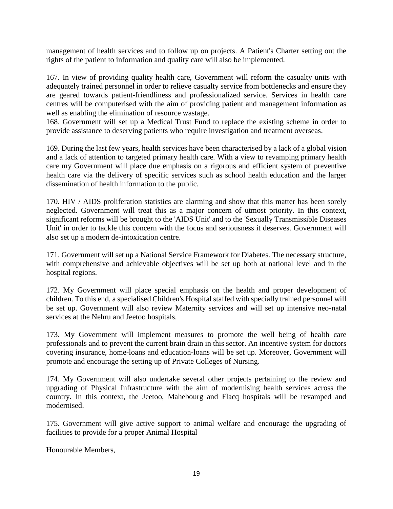management of health services and to follow up on projects. A Patient's Charter setting out the rights of the patient to information and quality care will also be implemented.

167. In view of providing quality health care, Government will reform the casualty units with adequately trained personnel in order to relieve casualty service from bottlenecks and ensure they are geared towards patient-friendliness and professionalized service. Services in health care centres will be computerised with the aim of providing patient and management information as well as enabling the elimination of resource wastage.

168. Government will set up a Medical Trust Fund to replace the existing scheme in order to provide assistance to deserving patients who require investigation and treatment overseas.

169. During the last few years, health services have been characterised by a lack of a global vision and a lack of attention to targeted primary health care. With a view to revamping primary health care my Government will place due emphasis on a rigorous and efficient system of preventive health care via the delivery of specific services such as school health education and the larger dissemination of health information to the public.

170. HIV / AIDS proliferation statistics are alarming and show that this matter has been sorely neglected. Government will treat this as a major concern of utmost priority. In this context, significant reforms will be brought to the 'AIDS Unit' and to the 'Sexually Transmissible Diseases Unit' in order to tackle this concern with the focus and seriousness it deserves. Government will also set up a modern de-intoxication centre.

171. Government will set up a National Service Framework for Diabetes. The necessary structure, with comprehensive and achievable objectives will be set up both at national level and in the hospital regions.

172. My Government will place special emphasis on the health and proper development of children. To this end, a specialised Children's Hospital staffed with specially trained personnel will be set up. Government will also review Maternity services and will set up intensive neo-natal services at the Nehru and Jeetoo hospitals.

173. My Government will implement measures to promote the well being of health care professionals and to prevent the current brain drain in this sector. An incentive system for doctors covering insurance, home-loans and education-loans will be set up. Moreover, Government will promote and encourage the setting up of Private Colleges of Nursing.

174. My Government will also undertake several other projects pertaining to the review and upgrading of Physical Infrastructure with the aim of modernising health services across the country. In this context, the Jeetoo, Mahebourg and Flacq hospitals will be revamped and modernised.

175. Government will give active support to animal welfare and encourage the upgrading of facilities to provide for a proper Animal Hospital

Honourable Members,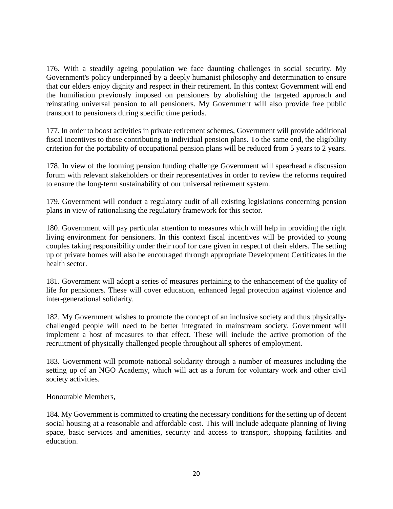176. With a steadily ageing population we face daunting challenges in social security. My Government's policy underpinned by a deeply humanist philosophy and determination to ensure that our elders enjoy dignity and respect in their retirement. In this context Government will end the humiliation previously imposed on pensioners by abolishing the targeted approach and reinstating universal pension to all pensioners. My Government will also provide free public transport to pensioners during specific time periods.

177. In order to boost activities in private retirement schemes, Government will provide additional fiscal incentives to those contributing to individual pension plans. To the same end, the eligibility criterion for the portability of occupational pension plans will be reduced from 5 years to 2 years.

178. In view of the looming pension funding challenge Government will spearhead a discussion forum with relevant stakeholders or their representatives in order to review the reforms required to ensure the long-term sustainability of our universal retirement system.

179. Government will conduct a regulatory audit of all existing legislations concerning pension plans in view of rationalising the regulatory framework for this sector.

180. Government will pay particular attention to measures which will help in providing the right living environment for pensioners. In this context fiscal incentives will be provided to young couples taking responsibility under their roof for care given in respect of their elders. The setting up of private homes will also be encouraged through appropriate Development Certificates in the health sector.

181. Government will adopt a series of measures pertaining to the enhancement of the quality of life for pensioners. These will cover education, enhanced legal protection against violence and inter-generational solidarity.

182. My Government wishes to promote the concept of an inclusive society and thus physicallychallenged people will need to be better integrated in mainstream society. Government will implement a host of measures to that effect. These will include the active promotion of the recruitment of physically challenged people throughout all spheres of employment.

183. Government will promote national solidarity through a number of measures including the setting up of an NGO Academy, which will act as a forum for voluntary work and other civil society activities.

Honourable Members,

184. My Government is committed to creating the necessary conditions for the setting up of decent social housing at a reasonable and affordable cost. This will include adequate planning of living space, basic services and amenities, security and access to transport, shopping facilities and education.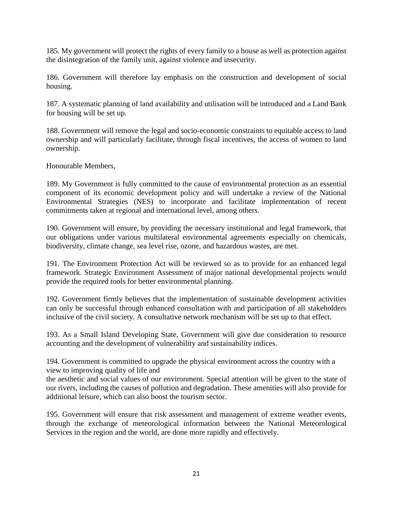185. My government will protect the rights of every family to a house as well as protection against the disintegration of the family unit, against violence and insecurity.

186. Government will therefore lay emphasis on the construction and development of social housing.

187. A systematic planning of land availability and utilisation will be introduced and a Land Bank for housing will be set up.

188. Government will remove the legal and socio-economic constraints to equitable access to land ownership and will particularly facilitate, through fiscal incentives, the access of women to land ownership.

Honourable Members,

189. My Government is fully committed to the cause of environmental protection as an essential component of its economic development policy and will undertake a review of the National Environmental Strategies (NES) to incorporate and facilitate implementation of recent commitments taken at regional and international level, among others.

190. Government will ensure, by providing the necessary institutional and legal framework, that our obligations under various multilateral environmental agreements especially on chemicals, biodiversity, climate change, sea level rise, ozone, and hazardous wastes, are met.

191. The Environment Protection Act will be reviewed so as to provide for an enhanced legal framework. Strategic Environment Assessment of major national developmental projects would provide the required tools for better environmental planning.

192. Government firmly believes that the implementation of sustainable development activities can only be successful through enhanced consultation with and participation of all stakeholders inclusive of the civil society. A consultative network mechanism will be set up to that effect.

193. As a Small Island Developing State, Government will give due consideration to resource accounting and the development of vulnerability and sustainability indices.

194. Government is committed to upgrade the physical environment across the country with a view to improving quality of life and

the aesthetic and social values of our environment. Special attention will be given to the state of our rivers, including the causes of pollution and degradation. These amenities will also provide for additional leisure, which can also boost the tourism sector.

195. Government will ensure that risk assessment and management of extreme weather events, through the exchange of meteorological information between the National Meteorological Services in the region and the world, are done more rapidly and effectively.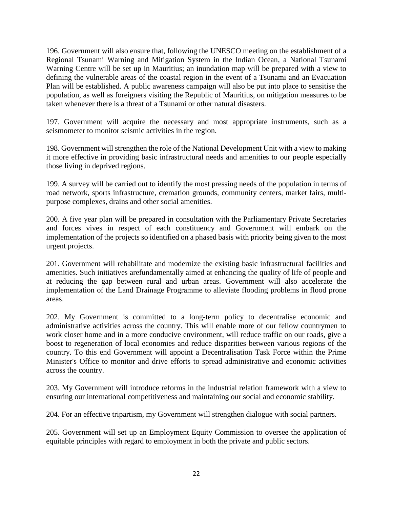196. Government will also ensure that, following the UNESCO meeting on the establishment of a Regional Tsunami Warning and Mitigation System in the Indian Ocean, a National Tsunami Warning Centre will be set up in Mauritius; an inundation map will be prepared with a view to defining the vulnerable areas of the coastal region in the event of a Tsunami and an Evacuation Plan will be established. A public awareness campaign will also be put into place to sensitise the population, as well as foreigners visiting the Republic of Mauritius, on mitigation measures to be taken whenever there is a threat of a Tsunami or other natural disasters.

197. Government will acquire the necessary and most appropriate instruments, such as a seismometer to monitor seismic activities in the region.

198. Government will strengthen the role of the National Development Unit with a view to making it more effective in providing basic infrastructural needs and amenities to our people especially those living in deprived regions.

199. A survey will be carried out to identify the most pressing needs of the population in terms of road network, sports infrastructure, cremation grounds, community centers, market fairs, multipurpose complexes, drains and other social amenities.

200. A five year plan will be prepared in consultation with the Parliamentary Private Secretaries and forces vives in respect of each constituency and Government will embark on the implementation of the projects so identified on a phased basis with priority being given to the most urgent projects.

201. Government will rehabilitate and modernize the existing basic infrastructural facilities and amenities. Such initiatives arefundamentally aimed at enhancing the quality of life of people and at reducing the gap between rural and urban areas. Government will also accelerate the implementation of the Land Drainage Programme to alleviate flooding problems in flood prone areas.

202. My Government is committed to a long-term policy to decentralise economic and administrative activities across the country. This will enable more of our fellow countrymen to work closer home and in a more conducive environment, will reduce traffic on our roads, give a boost to regeneration of local economies and reduce disparities between various regions of the country. To this end Government will appoint a Decentralisation Task Force within the Prime Minister's Office to monitor and drive efforts to spread administrative and economic activities across the country.

203. My Government will introduce reforms in the industrial relation framework with a view to ensuring our international competitiveness and maintaining our social and economic stability.

204. For an effective tripartism, my Government will strengthen dialogue with social partners.

205. Government will set up an Employment Equity Commission to oversee the application of equitable principles with regard to employment in both the private and public sectors.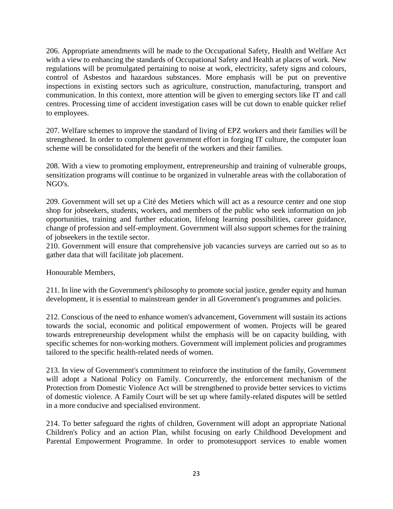206. Appropriate amendments will be made to the Occupational Safety, Health and Welfare Act with a view to enhancing the standards of Occupational Safety and Health at places of work. New regulations will be promulgated pertaining to noise at work, electricity, safety signs and colours, control of Asbestos and hazardous substances. More emphasis will be put on preventive inspections in existing sectors such as agriculture, construction, manufacturing, transport and communication. In this context, more attention will be given to emerging sectors like IT and call centres. Processing time of accident investigation cases will be cut down to enable quicker relief to employees.

207. Welfare schemes to improve the standard of living of EPZ workers and their families will be strengthened. In order to complement government effort in forging IT culture, the computer loan scheme will be consolidated for the benefit of the workers and their families.

208. With a view to promoting employment, entrepreneurship and training of vulnerable groups, sensitization programs will continue to be organized in vulnerable areas with the collaboration of NGO's.

209. Government will set up a Cité des Metiers which will act as a resource center and one stop shop for jobseekers, students, workers, and members of the public who seek information on job opportunities, training and further education, lifelong learning possibilities, career guidance, change of profession and self-employment. Government will also support schemes for the training of jobseekers in the textile sector.

210. Government will ensure that comprehensive job vacancies surveys are carried out so as to gather data that will facilitate job placement.

Honourable Members,

211. In line with the Government's philosophy to promote social justice, gender equity and human development, it is essential to mainstream gender in all Government's programmes and policies.

212. Conscious of the need to enhance women's advancement, Government will sustain its actions towards the social, economic and political empowerment of women. Projects will be geared towards entrepreneurship development whilst the emphasis will be on capacity building, with specific schemes for non-working mothers. Government will implement policies and programmes tailored to the specific health-related needs of women.

213. In view of Government's commitment to reinforce the institution of the family, Government will adopt a National Policy on Family. Concurrently, the enforcement mechanism of the Protection from Domestic Violence Act will be strengthened to provide better services to victims of domestic violence. A Family Court will be set up where family-related disputes will be settled in a more conducive and specialised environment.

214. To better safeguard the rights of children, Government will adopt an appropriate National Children's Policy and an action Plan, whilst focusing on early Childhood Development and Parental Empowerment Programme. In order to promotesupport services to enable women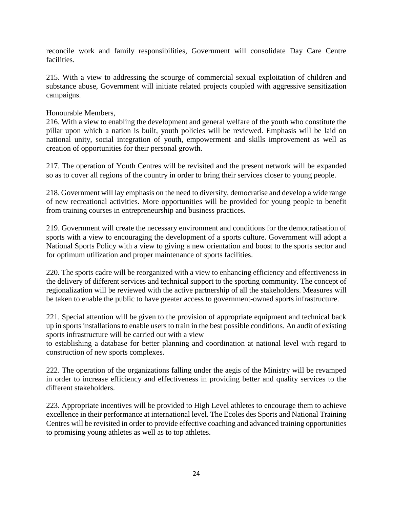reconcile work and family responsibilities, Government will consolidate Day Care Centre facilities.

215. With a view to addressing the scourge of commercial sexual exploitation of children and substance abuse, Government will initiate related projects coupled with aggressive sensitization campaigns.

### Honourable Members,

216. With a view to enabling the development and general welfare of the youth who constitute the pillar upon which a nation is built, youth policies will be reviewed. Emphasis will be laid on national unity, social integration of youth, empowerment and skills improvement as well as creation of opportunities for their personal growth.

217. The operation of Youth Centres will be revisited and the present network will be expanded so as to cover all regions of the country in order to bring their services closer to young people.

218. Government will lay emphasis on the need to diversify, democratise and develop a wide range of new recreational activities. More opportunities will be provided for young people to benefit from training courses in entrepreneurship and business practices.

219. Government will create the necessary environment and conditions for the democratisation of sports with a view to encouraging the development of a sports culture. Government will adopt a National Sports Policy with a view to giving a new orientation and boost to the sports sector and for optimum utilization and proper maintenance of sports facilities.

220. The sports cadre will be reorganized with a view to enhancing efficiency and effectiveness in the delivery of different services and technical support to the sporting community. The concept of regionalization will be reviewed with the active partnership of all the stakeholders. Measures will be taken to enable the public to have greater access to government-owned sports infrastructure.

221. Special attention will be given to the provision of appropriate equipment and technical back up in sports installations to enable users to train in the best possible conditions. An audit of existing sports infrastructure will be carried out with a view

to establishing a database for better planning and coordination at national level with regard to construction of new sports complexes.

222. The operation of the organizations falling under the aegis of the Ministry will be revamped in order to increase efficiency and effectiveness in providing better and quality services to the different stakeholders.

223. Appropriate incentives will be provided to High Level athletes to encourage them to achieve excellence in their performance at international level. The Ecoles des Sports and National Training Centres will be revisited in order to provide effective coaching and advanced training opportunities to promising young athletes as well as to top athletes.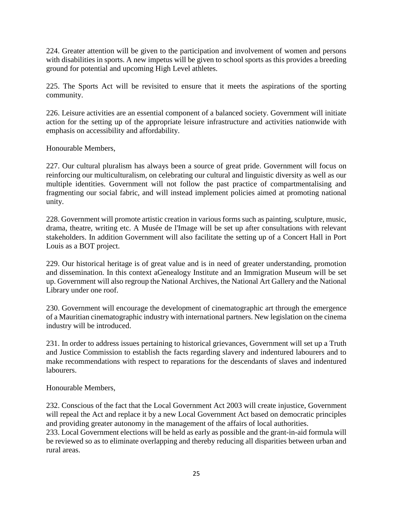224. Greater attention will be given to the participation and involvement of women and persons with disabilities in sports. A new impetus will be given to school sports as this provides a breeding ground for potential and upcoming High Level athletes.

225. The Sports Act will be revisited to ensure that it meets the aspirations of the sporting community.

226. Leisure activities are an essential component of a balanced society. Government will initiate action for the setting up of the appropriate leisure infrastructure and activities nationwide with emphasis on accessibility and affordability.

Honourable Members,

227. Our cultural pluralism has always been a source of great pride. Government will focus on reinforcing our multiculturalism, on celebrating our cultural and linguistic diversity as well as our multiple identities. Government will not follow the past practice of compartmentalising and fragmenting our social fabric, and will instead implement policies aimed at promoting national unity.

228. Government will promote artistic creation in various forms such as painting, sculpture, music, drama, theatre, writing etc. A Musée de l'Image will be set up after consultations with relevant stakeholders. In addition Government will also facilitate the setting up of a Concert Hall in Port Louis as a BOT project.

229. Our historical heritage is of great value and is in need of greater understanding, promotion and dissemination. In this context aGenealogy Institute and an Immigration Museum will be set up. Government will also regroup the National Archives, the National Art Gallery and the National Library under one roof.

230. Government will encourage the development of cinematographic art through the emergence of a Mauritian cinematographic industry with international partners. New legislation on the cinema industry will be introduced.

231. In order to address issues pertaining to historical grievances, Government will set up a Truth and Justice Commission to establish the facts regarding slavery and indentured labourers and to make recommendations with respect to reparations for the descendants of slaves and indentured labourers.

Honourable Members,

232. Conscious of the fact that the Local Government Act 2003 will create injustice, Government will repeal the Act and replace it by a new Local Government Act based on democratic principles and providing greater autonomy in the management of the affairs of local authorities.

233. Local Government elections will be held as early as possible and the grant-in-aid formula will be reviewed so as to eliminate overlapping and thereby reducing all disparities between urban and rural areas.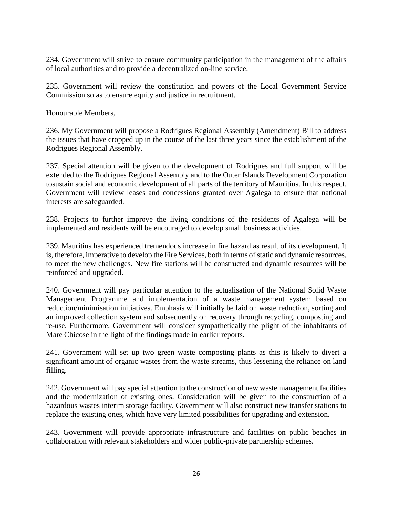234. Government will strive to ensure community participation in the management of the affairs of local authorities and to provide a decentralized on-line service.

235. Government will review the constitution and powers of the Local Government Service Commission so as to ensure equity and justice in recruitment.

Honourable Members,

236. My Government will propose a Rodrigues Regional Assembly (Amendment) Bill to address the issues that have cropped up in the course of the last three years since the establishment of the Rodrigues Regional Assembly.

237. Special attention will be given to the development of Rodrigues and full support will be extended to the Rodrigues Regional Assembly and to the Outer Islands Development Corporation tosustain social and economic development of all parts of the territory of Mauritius. In this respect, Government will review leases and concessions granted over Agalega to ensure that national interests are safeguarded.

238. Projects to further improve the living conditions of the residents of Agalega will be implemented and residents will be encouraged to develop small business activities.

239. Mauritius has experienced tremendous increase in fire hazard as result of its development. It is, therefore, imperative to develop the Fire Services, both in terms of static and dynamic resources, to meet the new challenges. New fire stations will be constructed and dynamic resources will be reinforced and upgraded.

240. Government will pay particular attention to the actualisation of the National Solid Waste Management Programme and implementation of a waste management system based on reduction/minimisation initiatives. Emphasis will initially be laid on waste reduction, sorting and an improved collection system and subsequently on recovery through recycling, composting and re-use. Furthermore, Government will consider sympathetically the plight of the inhabitants of Mare Chicose in the light of the findings made in earlier reports.

241. Government will set up two green waste composting plants as this is likely to divert a significant amount of organic wastes from the waste streams, thus lessening the reliance on land filling.

242. Government will pay special attention to the construction of new waste management facilities and the modernization of existing ones. Consideration will be given to the construction of a hazardous wastes interim storage facility. Government will also construct new transfer stations to replace the existing ones, which have very limited possibilities for upgrading and extension.

243. Government will provide appropriate infrastructure and facilities on public beaches in collaboration with relevant stakeholders and wider public-private partnership schemes.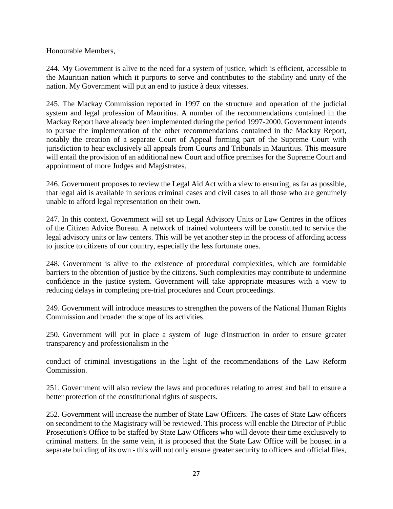Honourable Members,

244. My Government is alive to the need for a system of justice, which is efficient, accessible to the Mauritian nation which it purports to serve and contributes to the stability and unity of the nation. My Government will put an end to justice à deux vitesses.

245. The Mackay Commission reported in 1997 on the structure and operation of the judicial system and legal profession of Mauritius. A number of the recommendations contained in the Mackay Report have already been implemented during the period 1997-2000. Government intends to pursue the implementation of the other recommendations contained in the Mackay Report, notably the creation of a separate Court of Appeal forming part of the Supreme Court with jurisdiction to hear exclusively all appeals from Courts and Tribunals in Mauritius. This measure will entail the provision of an additional new Court and office premises for the Supreme Court and appointment of more Judges and Magistrates.

246. Government proposes to review the Legal Aid Act with a view to ensuring, as far as possible, that legal aid is available in serious criminal cases and civil cases to all those who are genuinely unable to afford legal representation on their own.

247. In this context, Government will set up Legal Advisory Units or Law Centres in the offices of the Citizen Advice Bureau. A network of trained volunteers will be constituted to service the legal advisory units or law centers. This will be yet another step in the process of affording access to justice to citizens of our country, especially the less fortunate ones.

248. Government is alive to the existence of procedural complexities, which are formidable barriers to the obtention of justice by the citizens. Such complexities may contribute to undermine confidence in the justice system. Government will take appropriate measures with a view to reducing delays in completing pre-trial procedures and Court proceedings.

249. Government will introduce measures to strengthen the powers of the National Human Rights Commission and broaden the scope of its activities.

250. Government will put in place a system of Juge d'Instruction in order to ensure greater transparency and professionalism in the

conduct of criminal investigations in the light of the recommendations of the Law Reform Commission.

251. Government will also review the laws and procedures relating to arrest and bail to ensure a better protection of the constitutional rights of suspects.

252. Government will increase the number of State Law Officers. The cases of State Law officers on secondment to the Magistracy will be reviewed. This process will enable the Director of Public Prosecution's Office to be staffed by State Law Officers who will devote their time exclusively to criminal matters. In the same vein, it is proposed that the State Law Office will be housed in a separate building of its own - this will not only ensure greater security to officers and official files,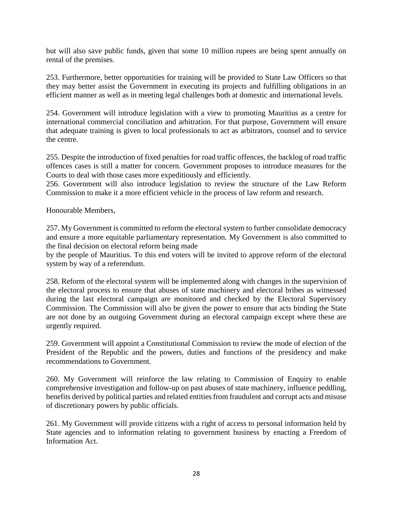but will also save public funds, given that some 10 million rupees are being spent annually on rental of the premises.

253. Furthermore, better opportunities for training will be provided to State Law Officers so that they may better assist the Government in executing its projects and fulfilling obligations in an efficient manner as well as in meeting legal challenges both at domestic and international levels.

254. Government will introduce legislation with a view to promoting Mauritius as a centre for international commercial conciliation and arbitration. For that purpose, Government will ensure that adequate training is given to local professionals to act as arbitrators, counsel and to service the centre.

255. Despite the introduction of fixed penalties for road traffic offences, the backlog of road traffic offences cases is still a matter for concern. Government proposes to introduce measures for the Courts to deal with those cases more expeditiously and efficiently.

256. Government will also introduce legislation to review the structure of the Law Reform Commission to make it a more efficient vehicle in the process of law reform and research.

Honourable Members,

257. My Government is committed to reform the electoral system to further consolidate democracy and ensure a more equitable parliamentary representation. My Government is also committed to the final decision on electoral reform being made

by the people of Mauritius. To this end voters will be invited to approve reform of the electoral system by way of a referendum.

258. Reform of the electoral system will be implemented along with changes in the supervision of the electoral process to ensure that abuses of state machinery and electoral bribes as witnessed during the last electoral campaign are monitored and checked by the Electoral Supervisory Commission. The Commission will also be given the power to ensure that acts binding the State are not done by an outgoing Government during an electoral campaign except where these are urgently required.

259. Government will appoint a Constitutional Commission to review the mode of election of the President of the Republic and the powers, duties and functions of the presidency and make recommendations to Government.

260. My Government will reinforce the law relating to Commission of Enquiry to enable comprehensive investigation and follow-up on past abuses of state machinery, influence peddling, benefits derived by political parties and related entities from fraudulent and corrupt acts and misuse of discretionary powers by public officials.

261. My Government will provide citizens with a right of access to personal information held by State agencies and to information relating to government business by enacting a Freedom of Information Act.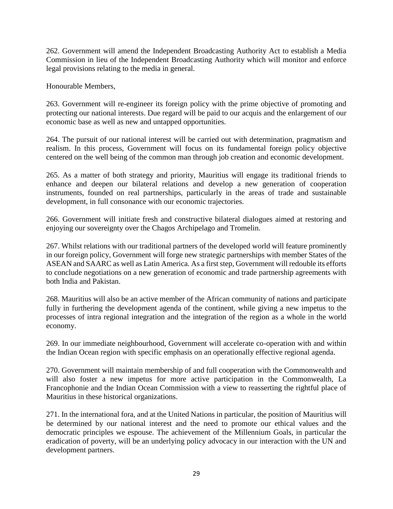262. Government will amend the Independent Broadcasting Authority Act to establish a Media Commission in lieu of the Independent Broadcasting Authority which will monitor and enforce legal provisions relating to the media in general.

Honourable Members,

263. Government will re-engineer its foreign policy with the prime objective of promoting and protecting our national interests. Due regard will be paid to our acquis and the enlargement of our economic base as well as new and untapped opportunities.

264. The pursuit of our national interest will be carried out with determination, pragmatism and realism. In this process, Government will focus on its fundamental foreign policy objective centered on the well being of the common man through job creation and economic development.

265. As a matter of both strategy and priority, Mauritius will engage its traditional friends to enhance and deepen our bilateral relations and develop a new generation of cooperation instruments, founded on real partnerships, particularly in the areas of trade and sustainable development, in full consonance with our economic trajectories.

266. Government will initiate fresh and constructive bilateral dialogues aimed at restoring and enjoying our sovereignty over the Chagos Archipelago and Tromelin.

267. Whilst relations with our traditional partners of the developed world will feature prominently in our foreign policy, Government will forge new strategic partnerships with member States of the ASEAN and SAARC as well as Latin America. As a first step, Government will redouble its efforts to conclude negotiations on a new generation of economic and trade partnership agreements with both India and Pakistan.

268. Mauritius will also be an active member of the African community of nations and participate fully in furthering the development agenda of the continent, while giving a new impetus to the processes of intra regional integration and the integration of the region as a whole in the world economy.

269. In our immediate neighbourhood, Government will accelerate co-operation with and within the Indian Ocean region with specific emphasis on an operationally effective regional agenda.

270. Government will maintain membership of and full cooperation with the Commonwealth and will also foster a new impetus for more active participation in the Commonwealth, La Francophonie and the Indian Ocean Commission with a view to reasserting the rightful place of Mauritius in these historical organizations.

271. In the international fora, and at the United Nations in particular, the position of Mauritius will be determined by our national interest and the need to promote our ethical values and the democratic principles we espouse. The achievement of the Millennium Goals, in particular the eradication of poverty, will be an underlying policy advocacy in our interaction with the UN and development partners.